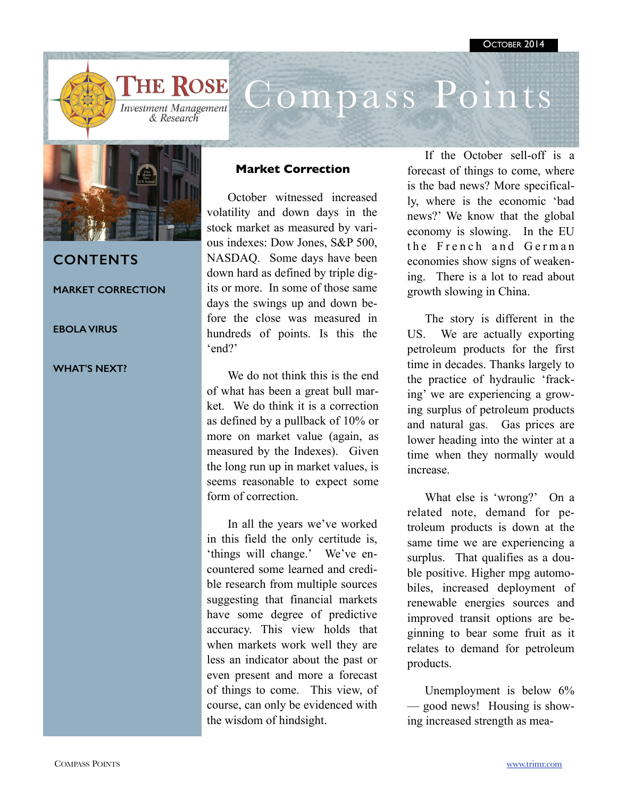

# Compass Points



## **CONTENTS**

**MARKET CORRECTION** 

### **EBOLA VIRUS**

#### **WHAT'S NEXT?**

## **Market Correction**

October witnessed increased volatility and down days in the stock market as measured by various indexes: Dow Jones, S&P 500, NASDAQ. Some days have been down hard as defined by triple digits or more. In some of those same days the swings up and down before the close was measured in hundreds of points. Is this the 'end?'

We do not think this is the end of what has been a great bull market. We do think it is a correction as defined by a pullback of 10% or more on market value (again, as measured by the Indexes). Given the long run up in market values, is seems reasonable to expect some form of correction.

In all the years we've worked in this field the only certitude is, 'things will change.' We've encountered some learned and credible research from multiple sources suggesting that financial markets have some degree of predictive accuracy. This view holds that when markets work well they are less an indicator about the past or even present and more a forecast of things to come. This view, of course, can only be evidenced with the wisdom of hindsight.

If the October sell-off is a forecast of things to come, where is the bad news? More specifically, where is the economic 'bad news?' We know that the global economy is slowing. In the EU the French and German economies show signs of weakening. There is a lot to read about growth slowing in China.

The story is different in the US. We are actually exporting petroleum products for the first time in decades. Thanks largely to the practice of hydraulic 'fracking' we are experiencing a growing surplus of petroleum products and natural gas. Gas prices are lower heading into the winter at a time when they normally would increase.

What else is 'wrong?' On a related note, demand for petroleum products is down at the same time we are experiencing a surplus. That qualifies as a double positive. Higher mpg automobiles, increased deployment of renewable energies sources and improved transit options are beginning to bear some fruit as it relates to demand for petroleum products.

Unemployment is below  $6\%$ — good news! Housing is showing increased strength as mea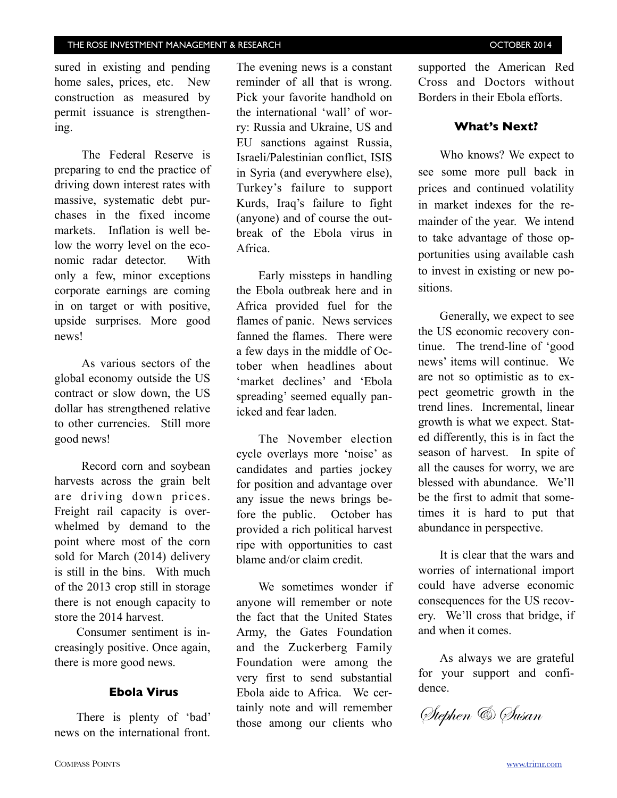sured in existing and pending home sales, prices, etc. New construction as measured by permit issuance is strengthening.

The Federal Reserve is preparing to end the practice of driving down interest rates with massive, systematic debt purchases in the fixed income markets. Inflation is well below the worry level on the economic radar detector. With only a few, minor exceptions corporate earnings are coming in on target or with positive, upside surprises. More good news!

As various sectors of the global economy outside the US contract or slow down, the US dollar has strengthened relative to other currencies. Still more good news!

Record corn and soybean harvests across the grain belt are driving down prices. Freight rail capacity is overwhelmed by demand to the point where most of the corn sold for March (2014) delivery is still in the bins. With much of the 2013 crop still in storage there is not enough capacity to store the 2014 harvest.

Consumer sentiment is increasingly positive. Once again, there is more good news.

## **Ebola Virus**

There is plenty of 'bad' news on the international front. The evening news is a constant reminder of all that is wrong. Pick your favorite handhold on the international 'wall' of worry: Russia and Ukraine, US and EU sanctions against Russia, Israeli/Palestinian conflict, ISIS in Syria (and everywhere else), Turkey's failure to support Kurds, Iraq's failure to fight (anyone) and of course the outbreak of the Ebola virus in Africa.

Early missteps in handling the Ebola outbreak here and in Africa provided fuel for the flames of panic. News services fanned the flames. There were a few days in the middle of October when headlines about 'market declines' and 'Ebola spreading' seemed equally panicked and fear laden.

The November election cycle overlays more 'noise' as candidates and parties jockey for position and advantage over any issue the news brings before the public. October has provided a rich political harvest ripe with opportunities to cast blame and/or claim credit.

We sometimes wonder if anyone will remember or note the fact that the United States Army, the Gates Foundation and the Zuckerberg Family Foundation were among the very first to send substantial Ebola aide to Africa. We certainly note and will remember those among our clients who supported the American Red Cross and Doctors without Borders in their Ebola efforts.

## **What's Next?**

Who knows? We expect to see some more pull back in prices and continued volatility in market indexes for the remainder of the year. We intend to take advantage of those opportunities using available cash to invest in existing or new positions.

Generally, we expect to see the US economic recovery continue. The trend-line of 'good news' items will continue. We are not so optimistic as to expect geometric growth in the trend lines. Incremental, linear growth is what we expect. Stated differently, this is in fact the season of harvest. In spite of all the causes for worry, we are blessed with abundance. We'll be the first to admit that sometimes it is hard to put that abundance in perspective.

It is clear that the wars and worries of international import could have adverse economic consequences for the US recovery. We'll cross that bridge, if and when it comes.

As always we are grateful for your support and confidence.

Stephen & Susan